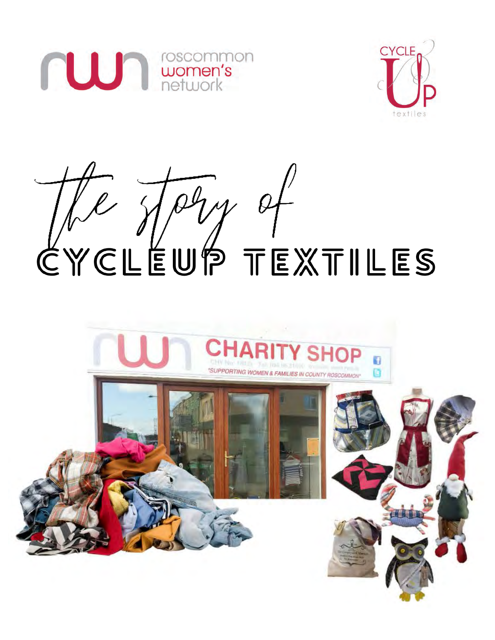





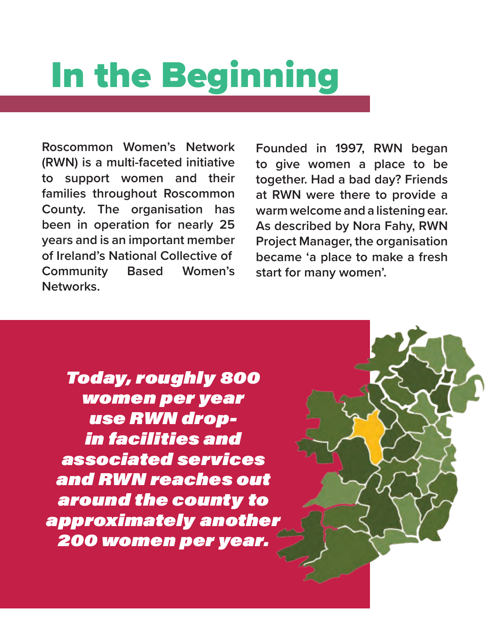# In the Beginning

**Roscommon Women's Network (RWN) is a multi-faceted initiative to support women and their families throughout Roscommon County. The organisation has been in operation for nearly 25 years and is an important member of Ireland's National Collective of Community Based Women's Networks.** 

**Founded in 1997, RWN began to give women a place to be together. Had a bad day? Friends at RWN were there to provide a warm welcome and a listening ear. As described by Nora Fahy, RWN Project Manager, the organisation became 'a place to make a fresh start for many women'.**

Today, roughly 800 women per year use RWN dropin facilities and associated services and RWN reaches out around the county to approximately another 200 women per year.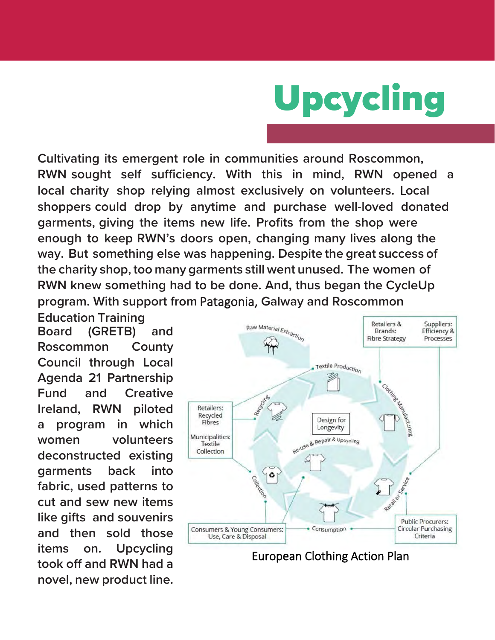

**Cultivating its emergent role in communities around Roscommon, RWN sought self sufficiency. With this in mind, RWN opened a local charity shop relying almost exclusively on volunteers.** L**ocal shoppers could drop by anytime and purchase well-loved donated garments, giving the items new life. Profits from the shop were enough to keep RWN's doors open, changing many lives along the way. But something else was happening. Despite the great success of the charity shop, too many garments still went unused. The women of RWN knew something had to be done. And, thus began the CycleUp program. With support from** Patagonia, **Galway and Roscommon**

**Education Training Board (GRETB) and Roscommon County Council through Local Agenda 21 Partnership Fund and Creative Ireland, RWN piloted a program in which women volunteers deconstructed existing garments back into fabric, used patterns to cut and sew new items like gifts and souvenirs and then sold those items on. Upcycling took off and RWN had a novel, new product line.**



European Clothing Action Plan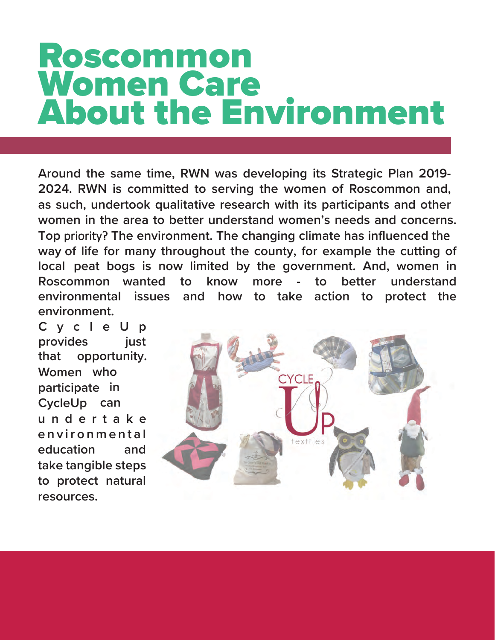#### Roscommon Women Care About the Environment

**Around the same time, RWN was developing its Strategic Plan 2019- 2024. RWN is committed to serving the women of Roscommon and, as such, undertook qualitative research with its participants and other women in the area to better understand women's needs and concerns. Top** priority? **The environment. The changing climate has influenced** the **way of life for many throughout the county, for example the cutting of local peat bogs is now limited by the government. And, women in Roscommon wanted to know more - to better understand environmental issues and how to take action to protect the environment.** 

**CycleUp provides just that opportunity. Women who participate in CycleUp can undertake e nvironmental education and take tangible steps to protect natural resources.** 

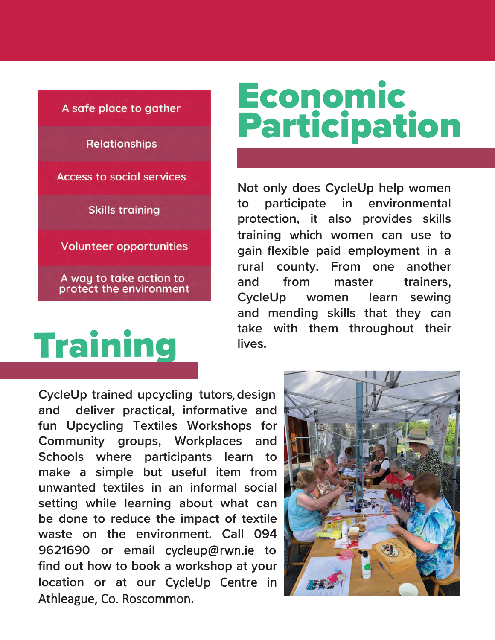

### **Economic** Participation

**Not only does CycleUp help women to participate in environmental protection, it also provides skills training** which **women can use to gain flexible paid employment in a rural county. From one another and from master trainers, CycleUp women learn sewing and mending skills that they can take with them throughout their** lives.

**CycleUp trained upcycling tutors**, **design and deliver practical, informative and fun Upcycling Textiles Workshops for Community groups, Workplaces and Schools where participants learn to make a simple but useful item from unwanted textiles in an informal social setting while learning about what can be done to reduce the impact of textile waste on the environment. Call 094 9621690 or email** cycleup@rwn.ie **to find out how to book a workshop at your location or at our** CycleUp Centre in Athleague, Co. Roscommon**.**

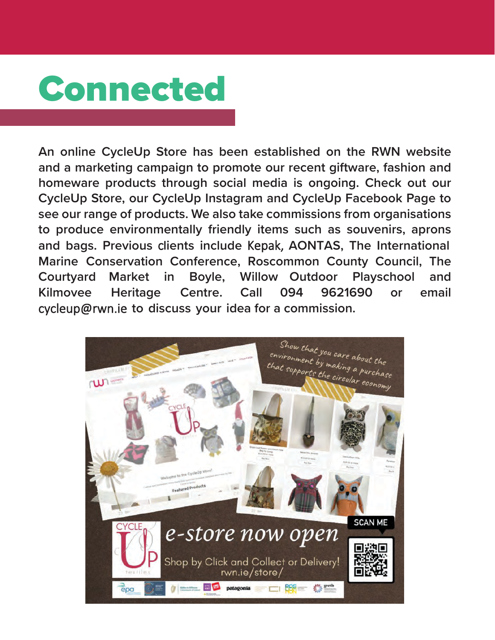## Connected

**An online CycleUp Store has been established on the RWN website and a marketing campaign to promote our recent giftware, fashion and homeware products through social media is ongoing. Check out our CycleUp Store, our CycleUp Instagram and CycleUp Facebook Page to see our range of products. We also take commissions from organisations to produce environmentally friendly items such as souvenirs, aprons and bags. Previous** c**lients include** Kepak, **AONTAS, The International Marine Conservation Conference, Roscommon County Council, The Courtyard Market in Boyle, Willow Outdoor Playschool and Kilmovee Heritage Centre. Call 094 9621690 or email**  cycleup@rwn.ie **to discuss your idea for a commission.**

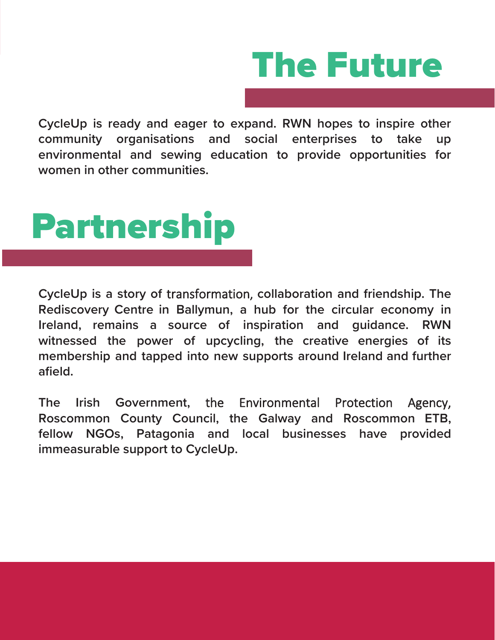

**CycleUp is ready and eager to expand. RWN hopes to inspire other community organisations and social enterprises to take up environmental and sewing education to provide opportunities for women in other communities.** 



**CycleUp is a story of** transformation, **collaboration and friendship. The Rediscovery Centre in Ballymun, a hub for the circular economy in Ireland, remains a source of inspiration and guidance. RWN witnessed the power of upcycling, the creative energies of its membership and tapped into new supports around Ireland and further afield.**

**The Irish Government,** the Environmental Protection Agency, **Roscommon County Council, the Galway and Roscommon ETB, fellow NGOs, Patagonia and local businesses have provided immeasurable support to CycleUp.**